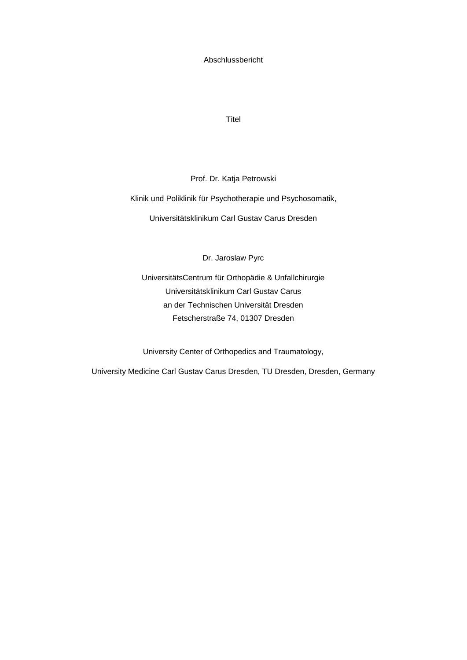Abschlussbericht

**Titel** 

Prof. Dr. Katja Petrowski

Klinik und Poliklinik für Psychotherapie und Psychosomatik,

Universitätsklinikum Carl Gustav Carus Dresden

Dr. Jaroslaw Pyrc

UniversitätsCentrum für Orthopädie & Unfallchirurgie Universitätsklinikum Carl Gustav Carus an der Technischen Universität Dresden Fetscherstraße 74, 01307 Dresden

University Center of Orthopedics and Traumatology,

University Medicine Carl Gustav Carus Dresden, TU Dresden, Dresden, Germany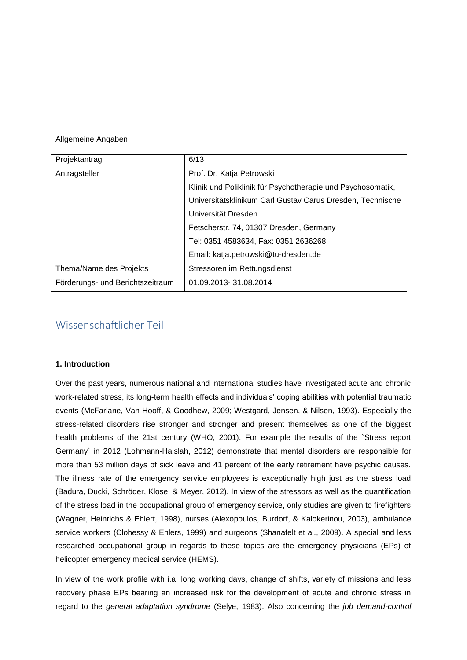### Allgemeine Angaben

| Projektantrag                    | 6/13                                                        |
|----------------------------------|-------------------------------------------------------------|
| Antragsteller                    | Prof. Dr. Katja Petrowski                                   |
|                                  | Klinik und Poliklinik für Psychotherapie und Psychosomatik, |
|                                  | Universitätsklinikum Carl Gustav Carus Dresden, Technische  |
|                                  | Universität Dresden                                         |
|                                  | Fetscherstr. 74, 01307 Dresden, Germany                     |
|                                  | Tel: 0351 4583634, Fax: 0351 2636268                        |
|                                  | Email: katja.petrowski@tu-dresden.de                        |
| Thema/Name des Projekts          | Stressoren im Rettungsdienst                                |
| Förderungs- und Berichtszeitraum | 01.09.2013-31.08.2014                                       |

## Wissenschaftlicher Teil

## **1. Introduction**

Over the past years, numerous national and international studies have investigated acute and chronic work-related stress, its long-term health effects and individuals' coping abilities with potential traumatic events (McFarlane, Van Hooff, & Goodhew, 2009; Westgard, Jensen, & Nilsen, 1993). Especially the stress-related disorders rise stronger and stronger and present themselves as one of the biggest health problems of the 21st century (WHO, 2001). For example the results of the `Stress report Germany` in 2012 (Lohmann-Haislah, 2012) demonstrate that mental disorders are responsible for more than 53 million days of sick leave and 41 percent of the early retirement have psychic causes. The illness rate of the emergency service employees is exceptionally high just as the stress load (Badura, Ducki, Schröder, Klose, & Meyer, 2012). In view of the stressors as well as the quantification of the stress load in the occupational group of emergency service, only studies are given to firefighters (Wagner, Heinrichs & Ehlert, 1998), nurses (Alexopoulos, Burdorf, & Kalokerinou, 2003), ambulance service workers (Clohessy & Ehlers, 1999) and surgeons (Shanafelt et al., 2009). A special and less researched occupational group in regards to these topics are the emergency physicians (EPs) of helicopter emergency medical service (HEMS).

In view of the work profile with i.a. long working days, change of shifts, variety of missions and less recovery phase EPs bearing an increased risk for the development of acute and chronic stress in regard to the *general adaptation syndrome* (Selye, 1983). Also concerning the *job demand-control*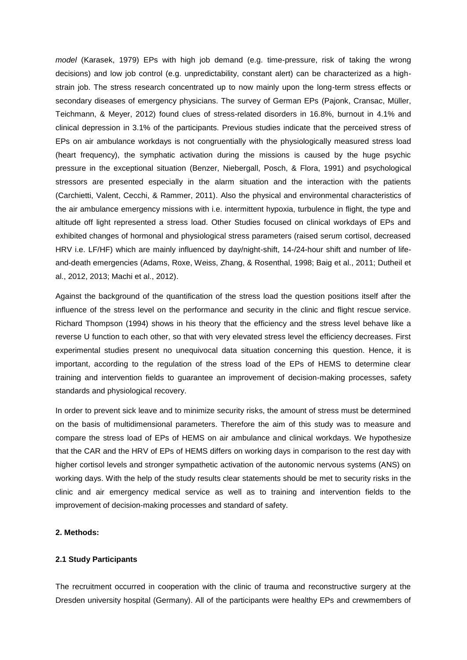*model* (Karasek, 1979) EPs with high job demand (e.g. time-pressure, risk of taking the wrong decisions) and low job control (e.g. unpredictability, constant alert) can be characterized as a highstrain job. The stress research concentrated up to now mainly upon the long-term stress effects or secondary diseases of emergency physicians. The survey of German EPs (Pajonk, Cransac, Müller, Teichmann, & Meyer, 2012) found clues of stress-related disorders in 16.8%, burnout in 4.1% and clinical depression in 3.1% of the participants. Previous studies indicate that the perceived stress of EPs on air ambulance workdays is not congruentially with the physiologically measured stress load (heart frequency), the symphatic activation during the missions is caused by the huge psychic pressure in the exceptional situation (Benzer, Niebergall, Posch, & Flora, 1991) and psychological stressors are presented especially in the alarm situation and the interaction with the patients (Carchietti, Valent, Cecchi, & Rammer, 2011). Also the physical and environmental characteristics of the air ambulance emergency missions with i.e. intermittent hypoxia, turbulence in flight, the type and altitude off light represented a stress load. Other Studies focused on clinical workdays of EPs and exhibited changes of hormonal and physiological stress parameters (raised serum cortisol, decreased HRV i.e. LF/HF) which are mainly influenced by day/night-shift, 14-/24-hour shift and number of lifeand-death emergencies (Adams, Roxe, Weiss, Zhang, & Rosenthal, 1998; Baig et al., 2011; Dutheil et al., 2012, 2013; Machi et al., 2012).

Against the background of the quantification of the stress load the question positions itself after the influence of the stress level on the performance and security in the clinic and flight rescue service. Richard Thompson (1994) shows in his theory that the efficiency and the stress level behave like a reverse U function to each other, so that with very elevated stress level the efficiency decreases. First experimental studies present no unequivocal data situation concerning this question. Hence, it is important, according to the regulation of the stress load of the EPs of HEMS to determine clear training and intervention fields to guarantee an improvement of decision-making processes, safety standards and physiological recovery.

In order to prevent sick leave and to minimize security risks, the amount of stress must be determined on the basis of multidimensional parameters. Therefore the aim of this study was to measure and compare the stress load of EPs of HEMS on air ambulance and clinical workdays. We hypothesize that the CAR and the HRV of EPs of HEMS differs on working days in comparison to the rest day with higher cortisol levels and stronger sympathetic activation of the autonomic nervous systems (ANS) on working days. With the help of the study results clear statements should be met to security risks in the clinic and air emergency medical service as well as to training and intervention fields to the improvement of decision-making processes and standard of safety.

## **2. Methods:**

### **2.1 Study Participants**

The recruitment occurred in cooperation with the clinic of trauma and reconstructive surgery at the Dresden university hospital (Germany). All of the participants were healthy EPs and crewmembers of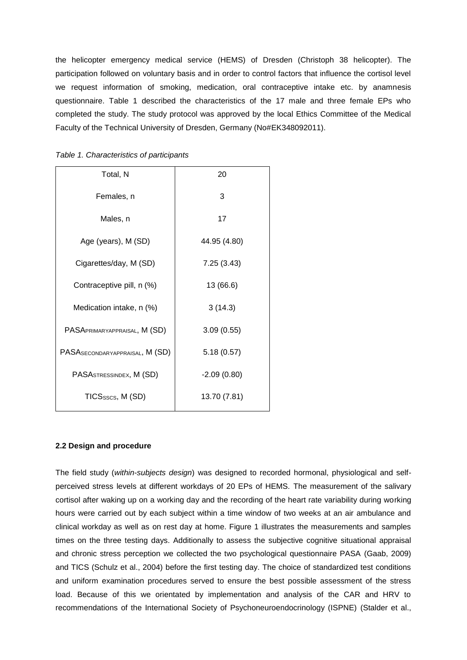the helicopter emergency medical service (HEMS) of Dresden (Christoph 38 helicopter). The participation followed on voluntary basis and in order to control factors that influence the cortisol level we request information of smoking, medication, oral contraceptive intake etc. by anamnesis questionnaire. Table 1 described the characteristics of the 17 male and three female EPs who completed the study. The study protocol was approved by the local Ethics Committee of the Medical Faculty of the Technical University of Dresden, Germany (No#EK348092011).

| Total, N                             | 20            |
|--------------------------------------|---------------|
| Females, n                           | 3             |
| Males, n                             | 17            |
| Age (years), M (SD)                  | 44.95 (4.80)  |
| Cigarettes/day, M (SD)               | 7.25(3.43)    |
| Contraceptive pill, n (%)            | 13 (66.6)     |
| Medication intake, n (%)             | 3(14.3)       |
| PASAPRIMARYAPPRAISAL, M (SD)         | 3.09(0.55)    |
| PASASECONDARYAPPRAISAL, M (SD)       | 5.18(0.57)    |
| PASA <sub>STRESSINDEX</sub> , M (SD) | $-2.09(0.80)$ |
| TICSsscs, M (SD)                     | 13.70 (7.81)  |
|                                      |               |

| Table 1. Characteristics of participants |  |  |  |  |  |
|------------------------------------------|--|--|--|--|--|
|------------------------------------------|--|--|--|--|--|

### **2.2 Design and procedure**

The field study (*within-subjects design*) was designed to recorded hormonal, physiological and selfperceived stress levels at different workdays of 20 EPs of HEMS. The measurement of the salivary cortisol after waking up on a working day and the recording of the heart rate variability during working hours were carried out by each subject within a time window of two weeks at an air ambulance and clinical workday as well as on rest day at home. Figure 1 illustrates the measurements and samples times on the three testing days. Additionally to assess the subjective cognitive situational appraisal and chronic stress perception we collected the two psychological questionnaire PASA (Gaab, 2009) and TICS (Schulz et al., 2004) before the first testing day. The choice of standardized test conditions and uniform examination procedures served to ensure the best possible assessment of the stress load. Because of this we orientated by implementation and analysis of the CAR and HRV to recommendations of the International Society of Psychoneuroendocrinology (ISPNE) (Stalder et al.,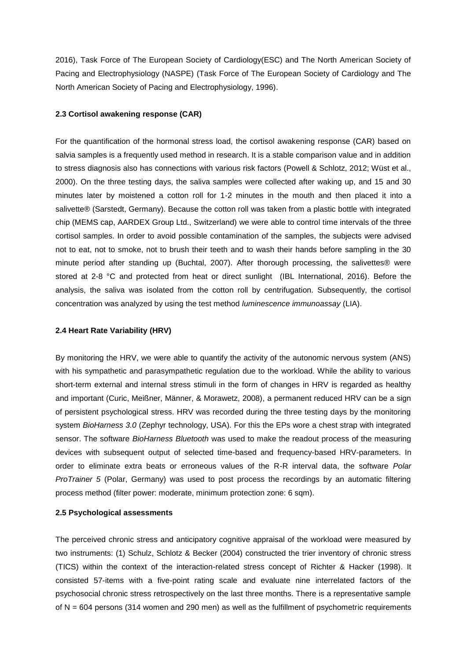2016), Task Force of The European Society of Cardiology(ESC) and The North American Society of Pacing and Electrophysiology (NASPE) (Task Force of The European Society of Cardiology and The North American Society of Pacing and Electrophysiology, 1996).

### **2.3 Cortisol awakening response (CAR)**

For the quantification of the hormonal stress load, the cortisol awakening response (CAR) based on salvia samples is a frequently used method in research. It is a stable comparison value and in addition to stress diagnosis also has connections with various risk factors (Powell & Schlotz, 2012; Wüst et al., 2000). On the three testing days, the saliva samples were collected after waking up, and 15 and 30 minutes later by moistened a cotton roll for 1-2 minutes in the mouth and then placed it into a salivette® (Sarstedt, Germany). Because the cotton roll was taken from a plastic bottle with integrated chip (MEMS cap, AARDEX Group Ltd., Switzerland) we were able to control time intervals of the three cortisol samples. In order to avoid possible contamination of the samples, the subjects were advised not to eat, not to smoke, not to brush their teeth and to wash their hands before sampling in the 30 minute period after standing up (Buchtal, 2007). After thorough processing, the salivettes® were stored at 2-8 °C and protected from heat or direct sunlight (IBL International, 2016). Before the analysis, the saliva was isolated from the cotton roll by centrifugation. Subsequently, the cortisol concentration was analyzed by using the test method *luminescence immunoassay* (LIA).

## **2.4 Heart Rate Variability (HRV)**

By monitoring the HRV, we were able to quantify the activity of the autonomic nervous system (ANS) with his sympathetic and parasympathetic regulation due to the workload. While the ability to various short-term external and internal stress stimuli in the form of changes in HRV is regarded as healthy and important (Curic, Meißner, Männer, & Morawetz, 2008), a permanent reduced HRV can be a sign of persistent psychological stress. HRV was recorded during the three testing days by the monitoring system *BioHarness 3.0* (Zephyr technology, USA). For this the EPs wore a chest strap with integrated sensor. The software *BioHarness Bluetooth* was used to make the readout process of the measuring devices with subsequent output of selected time-based and frequency-based HRV-parameters. In order to eliminate extra beats or erroneous values of the R-R interval data, the software *Polar ProTrainer 5* (Polar, Germany) was used to post process the recordings by an automatic filtering process method (filter power: moderate, minimum protection zone: 6 sqm).

### **2.5 Psychological assessments**

The perceived chronic stress and anticipatory cognitive appraisal of the workload were measured by two instruments: (1) Schulz, Schlotz & Becker (2004) constructed the trier inventory of chronic stress (TICS) within the context of the interaction-related stress concept of Richter & Hacker (1998). It consisted 57-items with a five-point rating scale and evaluate nine interrelated factors of the psychosocial chronic stress retrospectively on the last three months. There is a representative sample of  $N = 604$  persons (314 women and 290 men) as well as the fulfillment of psychometric requirements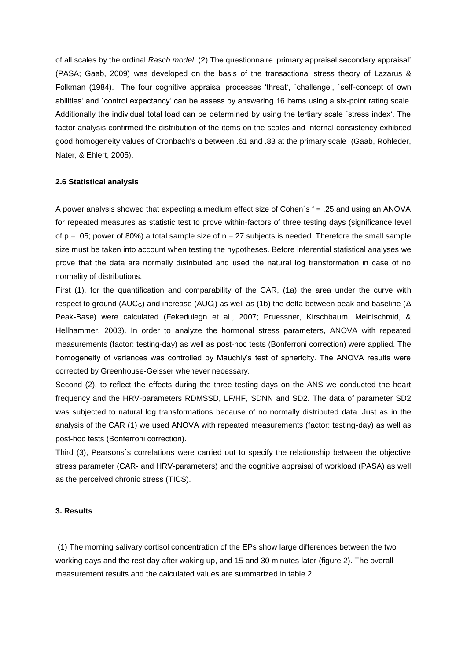of all scales by the ordinal *Rasch model*. (2) The questionnaire 'primary appraisal secondary appraisal' (PASA; Gaab, 2009) was developed on the basis of the transactional stress theory of Lazarus & Folkman (1984). The four cognitive appraisal processes 'threat', `challenge', `self-concept of own abilities' and `control expectancy' can be assess by answering 16 items using a six-point rating scale. Additionally the individual total load can be determined by using the tertiary scale ´stress index'. The factor analysis confirmed the distribution of the items on the scales and internal consistency exhibited good homogeneity values of Cronbach's α between .61 and .83 at the primary scale (Gaab, Rohleder, Nater, & Ehlert, 2005).

#### **2.6 Statistical analysis**

A power analysis showed that expecting a medium effect size of Cohen´s f = .25 and using an ANOVA for repeated measures as statistic test to prove within-factors of three testing days (significance level of  $p = 0.05$ ; power of 80%) a total sample size of  $n = 27$  subjects is needed. Therefore the small sample size must be taken into account when testing the hypotheses. Before inferential statistical analyses we prove that the data are normally distributed and used the natural log transformation in case of no normality of distributions.

First (1), for the quantification and comparability of the CAR, (1a) the area under the curve with respect to ground (AUC<sub>G</sub>) and increase (AUC<sub>I</sub>) as well as (1b) the delta between peak and baseline ( $\Delta$ Peak-Base) were calculated (Fekedulegn et al., 2007; Pruessner, Kirschbaum, Meinlschmid, & Hellhammer, 2003). In order to analyze the hormonal stress parameters, ANOVA with repeated measurements (factor: testing-day) as well as post-hoc tests (Bonferroni correction) were applied. The homogeneity of variances was controlled by Mauchly's test of sphericity. The ANOVA results were corrected by Greenhouse-Geisser whenever necessary.

Second (2), to reflect the effects during the three testing days on the ANS we conducted the heart frequency and the HRV-parameters RDMSSD, LF/HF, SDNN and SD2. The data of parameter SD2 was subjected to natural log transformations because of no normally distributed data. Just as in the analysis of the CAR (1) we used ANOVA with repeated measurements (factor: testing-day) as well as post-hoc tests (Bonferroni correction).

Third (3), Pearsons´s correlations were carried out to specify the relationship between the objective stress parameter (CAR- and HRV-parameters) and the cognitive appraisal of workload (PASA) as well as the perceived chronic stress (TICS).

### **3. Results**

(1) The morning salivary cortisol concentration of the EPs show large differences between the two working days and the rest day after waking up, and 15 and 30 minutes later (figure 2). The overall measurement results and the calculated values are summarized in table 2.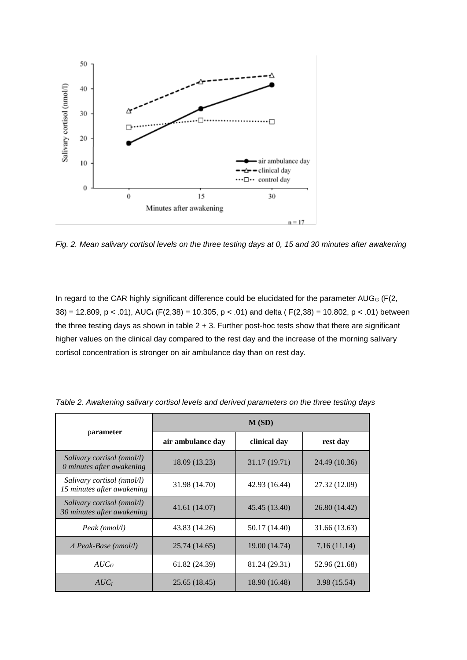

*Fig. 2. Mean salivary cortisol levels on the three testing days at 0, 15 and 30 minutes after awakening*

In regard to the CAR highly significant difference could be elucidated for the parameter AUGG (F(2, 38) = 12.809, p < .01), AUC<sub>I</sub> (F(2,38) = 10.305, p < .01) and delta (F(2,38) = 10.802, p < .01) between the three testing days as shown in table 2 + 3. Further post-hoc tests show that there are significant higher values on the clinical day compared to the rest day and the increase of the morning salivary cortisol concentration is stronger on air ambulance day than on rest day.

|                                                              | M(SD)             |               |               |  |  |  |
|--------------------------------------------------------------|-------------------|---------------|---------------|--|--|--|
| parameter                                                    | air ambulance day | clinical day  | rest day      |  |  |  |
| Salivary cortisol (nmol/l)<br>0 minutes after awakening      | 18.09 (13.23)     | 31.17 (19.71) | 24.49 (10.36) |  |  |  |
| Salivary cortisol (nmol/l)<br>15 minutes after awakening     | 31.98 (14.70)     | 42.93 (16.44) | 27.32 (12.09) |  |  |  |
| Salivary cortisol ( $nmol/l$ )<br>30 minutes after awakening | 41.61 (14.07)     | 45.45 (13.40) | 26.80 (14.42) |  |  |  |
| Peak (nmol/l)                                                | 43.83 (14.26)     | 50.17 (14.40) | 31.66 (13.63) |  |  |  |
| $\triangle$ Peak-Base (nmol/l)                               | 25.74 (14.65)     | 19.00 (14.74) | 7.16(11.14)   |  |  |  |
| $AUC_G$                                                      | 61.82 (24.39)     | 81.24 (29.31) | 52.96 (21.68) |  |  |  |
| $AUC_I$                                                      | 25.65 (18.45)     | 18.90 (16.48) | 3.98 (15.54)  |  |  |  |

*Table 2. Awakening salivary cortisol levels and derived parameters on the three testing days*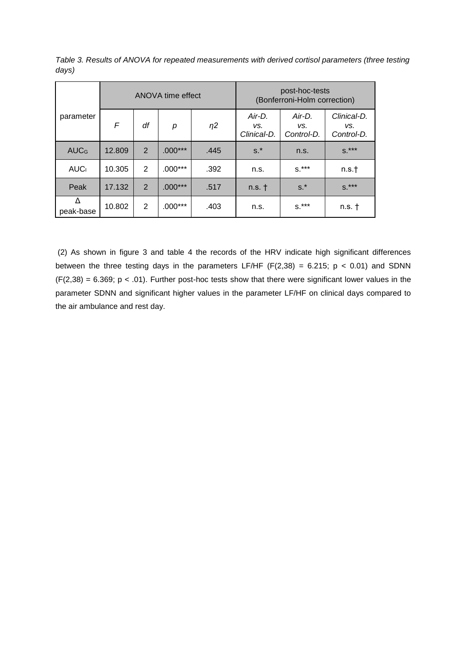|                         | ANOVA time effect |                |           |          |                              | post-hoc-tests<br>(Bonferroni-Holm correction) |                                  |
|-------------------------|-------------------|----------------|-----------|----------|------------------------------|------------------------------------------------|----------------------------------|
| parameter               | F                 | df             | р         | $\eta$ 2 | Air-D.<br>VS.<br>Clinical-D. | Air-D.<br>VS.<br>Control-D.                    | Clinical-D.<br>VS.<br>Control-D. |
| <b>AUC</b> <sub>G</sub> | 12.809            | $\overline{2}$ | $.000***$ | .445     | $s.*$                        | n.s.                                           | $S^{\star \star \star}$          |
| <b>AUC</b>              | 10.305            | $\mathcal{P}$  | $.000***$ | .392     | n.s.                         | $S^{\star\star\star}$                          | n.s.t                            |
| Peak                    | 17.132            | 2              | $.000***$ | .517     | $n.s.$ †                     | $s.*$                                          | $S^{\star\star\star}$            |
| Δ<br>peak-base          | 10.802            | $\mathbf{2}$   | $.000***$ | .403     | n.s.                         | $S^*$ ***                                      | $n.s.$ $\dagger$                 |

*Table 3. Results of ANOVA for repeated measurements with derived cortisol parameters (three testing days)*

(2) As shown in figure 3 and table 4 the records of the HRV indicate high significant differences between the three testing days in the parameters LF/HF (F(2,38) = 6.215;  $p < 0.01$ ) and SDNN  $(F(2,38) = 6.369; p < .01)$ . Further post-hoc tests show that there were significant lower values in the parameter SDNN and significant higher values in the parameter LF/HF on clinical days compared to the air ambulance and rest day.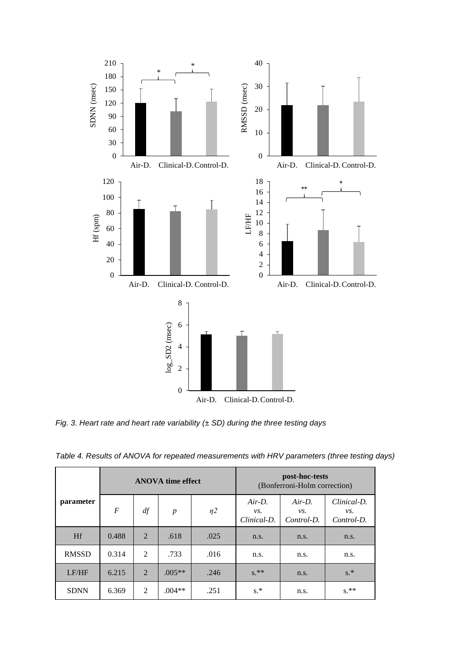

*Fig. 3. Heart rate and heart rate variability (± SD) during the three testing days*

|              | <b>ANOVA</b> time effect |                |                  |          |                                 | post-hoc-tests<br>(Bonferroni-Holm correction) |                                        |
|--------------|--------------------------|----------------|------------------|----------|---------------------------------|------------------------------------------------|----------------------------------------|
| parameter    | $\boldsymbol{F}$         | df             | $\boldsymbol{p}$ | $\eta$ 2 | $Air-D$ .<br>vs.<br>Clinical-D. | $Air-D$ .<br>vs.<br>Control-D.                 | Clinical-D.<br>$\nu s$ .<br>Control-D. |
| <b>Hf</b>    | 0.488                    | $\overline{2}$ | .618             | .025     | n.s.                            | n.s.                                           | n.s.                                   |
| <b>RMSSD</b> | 0.314                    | 2              | .733             | .016     | n.s.                            | n.s.                                           | n.s.                                   |
| LF/HF        | 6.215                    | $\overline{2}$ | $.005**$         | .246     | $S^*$                           | n.s.                                           | $s.*$                                  |
| <b>SDNN</b>  | 6.369                    | 2              | $.004**$         | .251     | $s.*$                           | n.s.                                           | $s.**$                                 |

*Table 4. Results of ANOVA for repeated measurements with HRV parameters (three testing days)*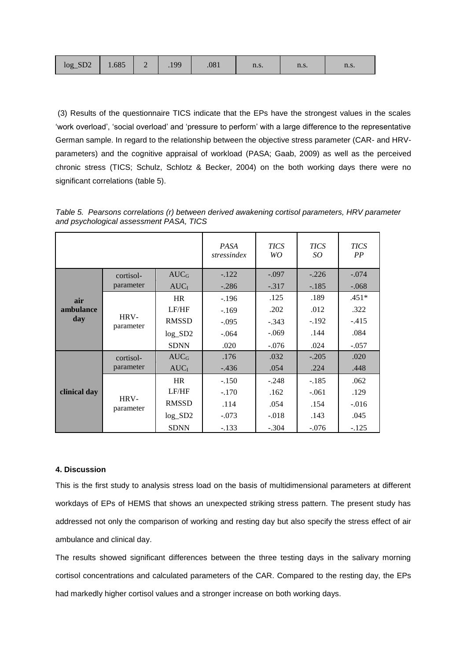| $\log_{10} S D2$ 1.685 2 1.99 |  |  |  | .081 | n.s. | n.s. | n.s. |
|-------------------------------|--|--|--|------|------|------|------|
|-------------------------------|--|--|--|------|------|------|------|

(3) Results of the questionnaire TICS indicate that the EPs have the strongest values in the scales 'work overload', 'social overload' and 'pressure to perform' with a large difference to the representative German sample. In regard to the relationship between the objective stress parameter (CAR- and HRVparameters) and the cognitive appraisal of workload (PASA; Gaab, 2009) as well as the perceived chronic stress (TICS; Schulz, Schlotz & Becker, 2004) on the both working days there were no significant correlations (table 5).

|           |                                                                                                                         |              | <b>PASA</b><br>stressindex | <b>TICS</b><br>WO | <b>TICS</b><br>SO | <b>TICS</b><br>PP |
|-----------|-------------------------------------------------------------------------------------------------------------------------|--------------|----------------------------|-------------------|-------------------|-------------------|
|           | cortisol-                                                                                                               | $AUC_G$      | $-.122$                    | $-.097$           | $-.226$           | $-.074$           |
|           | parameter                                                                                                               | AUCI         | $-.286$                    | $-.317$           | $-.185$           | $-.068$           |
| air       |                                                                                                                         | <b>HR</b>    | $-.196$                    | .125              | .189              | $.451*$           |
| ambulance |                                                                                                                         | LF/HF        | $-.169$                    | .202              | .012              | .322              |
| day       | HRV-<br>the contract of the contract of the contract of the contract of the contract of the contract of the contract of | <b>RMSSD</b> | $-.095$                    | $-.343$           | $-.192$           | $-.415$           |

log\_SD2 -.064 -.069 .144 .084 SDNN .020 -.076 .024 -.057

AUC<sub>G</sub> 176 .032 .032 .020 AUC<sub>I</sub> | -.436 .054 | .224 | .448

HR | -.150 | -.248 | -.185 | .062 LF/HF -.170 .162 -.061 .129 RMSSD .114 .054 .154 -.016 log\_SD2 -.073 -.018 .143 .045 SDNN -.133 -.304 -.076 -.125

*Table 5. Pearsons correlations (r) between derived awakening cortisol parameters, HRV parameter and psychological assessment PASA, TICS*

### **4. Discussion**

**clinical day**

parameter

cortisolparameter

HRVparameter

This is the first study to analysis stress load on the basis of multidimensional parameters at different workdays of EPs of HEMS that shows an unexpected striking stress pattern. The present study has addressed not only the comparison of working and resting day but also specify the stress effect of air ambulance and clinical day.

The results showed significant differences between the three testing days in the salivary morning cortisol concentrations and calculated parameters of the CAR. Compared to the resting day, the EPs had markedly higher cortisol values and a stronger increase on both working days.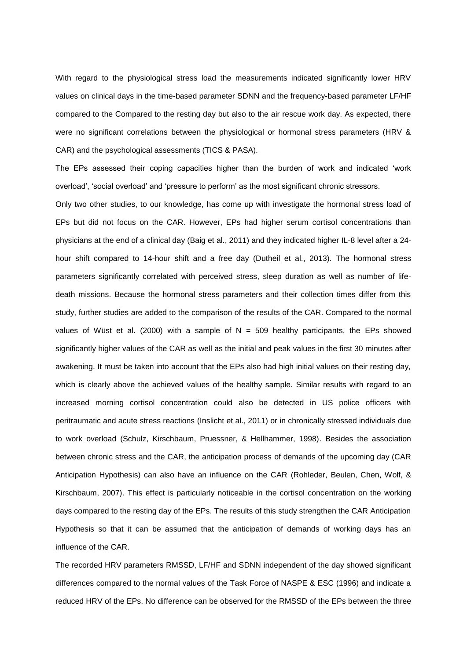With regard to the physiological stress load the measurements indicated significantly lower HRV values on clinical days in the time-based parameter SDNN and the frequency-based parameter LF/HF compared to the Compared to the resting day but also to the air rescue work day. As expected, there were no significant correlations between the physiological or hormonal stress parameters (HRV & CAR) and the psychological assessments (TICS & PASA).

The EPs assessed their coping capacities higher than the burden of work and indicated 'work overload', 'social overload' and 'pressure to perform' as the most significant chronic stressors.

Only two other studies, to our knowledge, has come up with investigate the hormonal stress load of EPs but did not focus on the CAR. However, EPs had higher serum cortisol concentrations than physicians at the end of a clinical day (Baig et al., 2011) and they indicated higher IL-8 level after a 24 hour shift compared to 14-hour shift and a free day (Dutheil et al., 2013). The hormonal stress parameters significantly correlated with perceived stress, sleep duration as well as number of lifedeath missions. Because the hormonal stress parameters and their collection times differ from this study, further studies are added to the comparison of the results of the CAR. Compared to the normal values of Wüst et al. (2000) with a sample of  $N = 509$  healthy participants, the EPs showed significantly higher values of the CAR as well as the initial and peak values in the first 30 minutes after awakening. It must be taken into account that the EPs also had high initial values on their resting day, which is clearly above the achieved values of the healthy sample. Similar results with regard to an increased morning cortisol concentration could also be detected in US police officers with peritraumatic and acute stress reactions (Inslicht et al., 2011) or in chronically stressed individuals due to work overload (Schulz, Kirschbaum, Pruessner, & Hellhammer, 1998). Besides the association between chronic stress and the CAR, the anticipation process of demands of the upcoming day (CAR Anticipation Hypothesis) can also have an influence on the CAR (Rohleder, Beulen, Chen, Wolf, & Kirschbaum, 2007). This effect is particularly noticeable in the cortisol concentration on the working days compared to the resting day of the EPs. The results of this study strengthen the CAR Anticipation Hypothesis so that it can be assumed that the anticipation of demands of working days has an influence of the CAR.

The recorded HRV parameters RMSSD, LF/HF and SDNN independent of the day showed significant differences compared to the normal values of the Task Force of NASPE & ESC (1996) and indicate a reduced HRV of the EPs. No difference can be observed for the RMSSD of the EPs between the three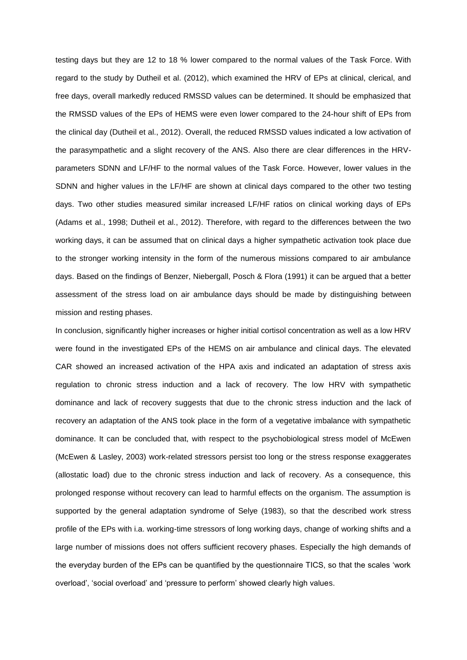testing days but they are 12 to 18 % lower compared to the normal values of the Task Force. With regard to the study by Dutheil et al. (2012), which examined the HRV of EPs at clinical, clerical, and free days, overall markedly reduced RMSSD values can be determined. It should be emphasized that the RMSSD values of the EPs of HEMS were even lower compared to the 24-hour shift of EPs from the clinical day (Dutheil et al., 2012). Overall, the reduced RMSSD values indicated a low activation of the parasympathetic and a slight recovery of the ANS. Also there are clear differences in the HRVparameters SDNN and LF/HF to the normal values of the Task Force. However, lower values in the SDNN and higher values in the LF/HF are shown at clinical days compared to the other two testing days. Two other studies measured similar increased LF/HF ratios on clinical working days of EPs (Adams et al., 1998; Dutheil et al., 2012). Therefore, with regard to the differences between the two working days, it can be assumed that on clinical days a higher sympathetic activation took place due to the stronger working intensity in the form of the numerous missions compared to air ambulance days. Based on the findings of Benzer, Niebergall, Posch & Flora (1991) it can be argued that a better assessment of the stress load on air ambulance days should be made by distinguishing between mission and resting phases.

In conclusion, significantly higher increases or higher initial cortisol concentration as well as a low HRV were found in the investigated EPs of the HEMS on air ambulance and clinical days. The elevated CAR showed an increased activation of the HPA axis and indicated an adaptation of stress axis regulation to chronic stress induction and a lack of recovery. The low HRV with sympathetic dominance and lack of recovery suggests that due to the chronic stress induction and the lack of recovery an adaptation of the ANS took place in the form of a vegetative imbalance with sympathetic dominance. It can be concluded that, with respect to the psychobiological stress model of McEwen (McEwen & Lasley, 2003) work-related stressors persist too long or the stress response exaggerates (allostatic load) due to the chronic stress induction and lack of recovery. As a consequence, this prolonged response without recovery can lead to harmful effects on the organism. The assumption is supported by the general adaptation syndrome of Selye (1983), so that the described work stress profile of the EPs with i.a. working-time stressors of long working days, change of working shifts and a large number of missions does not offers sufficient recovery phases. Especially the high demands of the everyday burden of the EPs can be quantified by the questionnaire TICS, so that the scales 'work overload', 'social overload' and 'pressure to perform' showed clearly high values.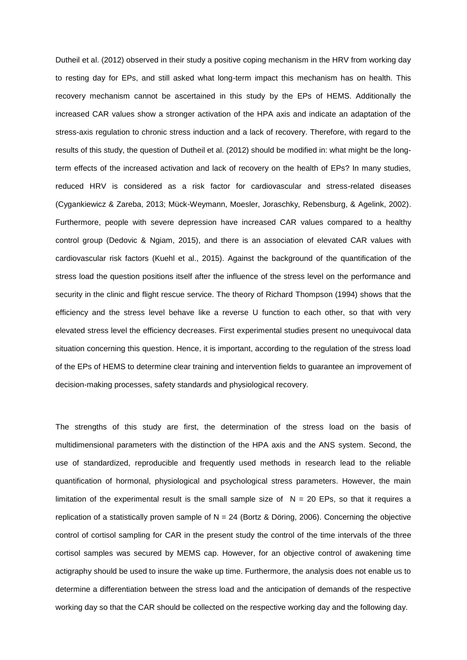Dutheil et al. (2012) observed in their study a positive coping mechanism in the HRV from working day to resting day for EPs, and still asked what long-term impact this mechanism has on health. This recovery mechanism cannot be ascertained in this study by the EPs of HEMS. Additionally the increased CAR values show a stronger activation of the HPA axis and indicate an adaptation of the stress-axis regulation to chronic stress induction and a lack of recovery. Therefore, with regard to the results of this study, the question of Dutheil et al. (2012) should be modified in: what might be the longterm effects of the increased activation and lack of recovery on the health of EPs? In many studies, reduced HRV is considered as a risk factor for cardiovascular and stress-related diseases (Cygankiewicz & Zareba, 2013; Mück-Weymann, Moesler, Joraschky, Rebensburg, & Agelink, 2002). Furthermore, people with severe depression have increased CAR values compared to a healthy control group (Dedovic & Ngiam, 2015), and there is an association of elevated CAR values with cardiovascular risk factors (Kuehl et al., 2015). Against the background of the quantification of the stress load the question positions itself after the influence of the stress level on the performance and security in the clinic and flight rescue service. The theory of Richard Thompson (1994) shows that the efficiency and the stress level behave like a reverse U function to each other, so that with very elevated stress level the efficiency decreases. First experimental studies present no unequivocal data situation concerning this question. Hence, it is important, according to the regulation of the stress load of the EPs of HEMS to determine clear training and intervention fields to guarantee an improvement of decision-making processes, safety standards and physiological recovery.

The strengths of this study are first, the determination of the stress load on the basis of multidimensional parameters with the distinction of the HPA axis and the ANS system. Second, the use of standardized, reproducible and frequently used methods in research lead to the reliable quantification of hormonal, physiological and psychological stress parameters. However, the main limitation of the experimental result is the small sample size of  $N = 20$  EPs, so that it requires a replication of a statistically proven sample of  $N = 24$  (Bortz & Döring, 2006). Concerning the objective control of cortisol sampling for CAR in the present study the control of the time intervals of the three cortisol samples was secured by MEMS cap. However, for an objective control of awakening time actigraphy should be used to insure the wake up time. Furthermore, the analysis does not enable us to determine a differentiation between the stress load and the anticipation of demands of the respective working day so that the CAR should be collected on the respective working day and the following day.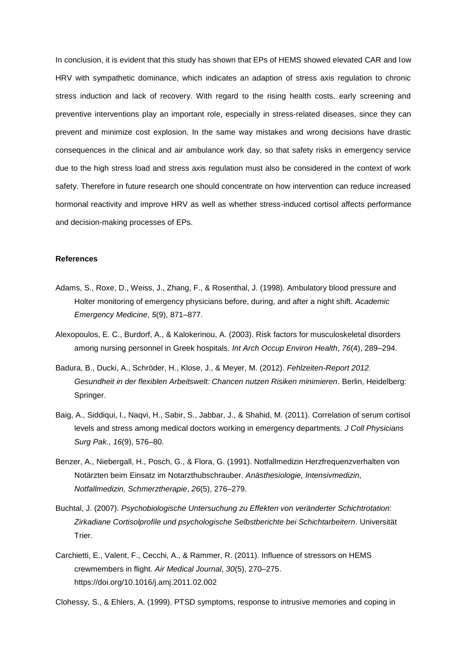In conclusion, it is evident that this study has shown that EPs of HEMS showed elevated CAR and low HRV with sympathetic dominance, which indicates an adaption of stress axis regulation to chronic stress induction and lack of recovery. With regard to the rising health costs, early screening and preventive interventions play an important role, especially in stress-related diseases, since they can prevent and minimize cost explosion. In the same way mistakes and wrong decisions have drastic consequences in the clinical and air ambulance work day, so that safety risks in emergency service due to the high stress load and stress axis regulation must also be considered in the context of work safety. Therefore in future research one should concentrate on how intervention can reduce increased hormonal reactivity and improve HRV as well as whether stress-induced cortisol affects performance and decision-making processes of EPs.

### **References**

- Adams, S., Roxe, D., Weiss, J., Zhang, F., & Rosenthal, J. (1998). Ambulatory blood pressure and Holter monitoring of emergency physicians before, during, and after a night shift. *Academic Emergency Medicine*, *5*(9), 871–877.
- Alexopoulos, E. C., Burdorf, A., & Kalokerinou, A. (2003). Risk factors for musculoskeletal disorders among nursing personnel in Greek hospitals. *Int Arch Occup Environ Health*, *76*(4), 289–294.
- Badura, B., Ducki, A., Schröder, H., Klose, J., & Meyer, M. (2012). *Fehlzeiten-Report 2012. Gesundheit in der flexiblen Arbeitswelt: Chancen nutzen Risiken minimieren*. Berlin, Heidelberg: Springer.
- Baig, A., Siddiqui, I., Naqvi, H., Sabir, S., Jabbar, J., & Shahid, M. (2011). Correlation of serum cortisol levels and stress among medical doctors working in emergency departments. *J Coll Physicians Surg Pak.*, *16*(9), 576–80.
- Benzer, A., Niebergall, H., Posch, G., & Flora, G. (1991). Notfallmedizin Herzfrequenzverhalten von Notärzten beim Einsatz im Notarzthubschrauber. *Anästhesiologie, Intensivmedizin, Notfallmedizin, Schmerztherapie*, *26*(5), 276–279.
- Buchtal, J. (2007). *Psychobiologische Untersuchung zu Effekten von veränderter Schichtrotation: Zirkadiane Cortisolprofile und psychologische Selbstberichte bei Schichtarbeitern*. Universität Trier.
- Carchietti, E., Valent, F., Cecchi, A., & Rammer, R. (2011). Influence of stressors on HEMS crewmembers in flight. *Air Medical Journal*, *30*(5), 270–275. https://doi.org/10.1016/j.amj.2011.02.002

Clohessy, S., & Ehlers, A. (1999). PTSD symptoms, response to intrusive memories and coping in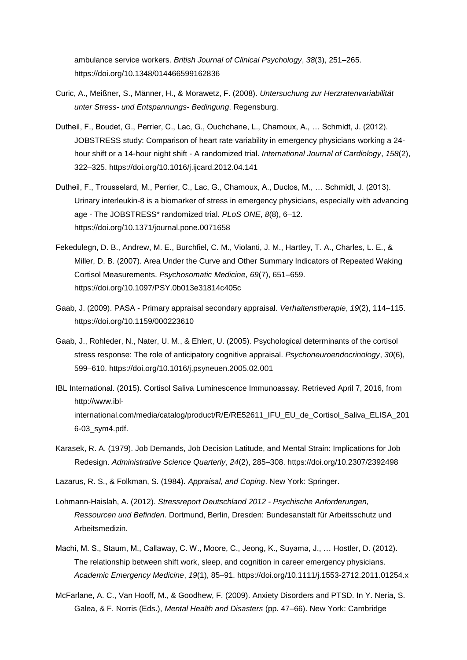ambulance service workers. *British Journal of Clinical Psychology*, *38*(3), 251–265. https://doi.org/10.1348/014466599162836

- Curic, A., Meißner, S., Männer, H., & Morawetz, F. (2008). *Untersuchung zur Herzratenvariabilität unter Stress- und Entspannungs- Bedingung*. Regensburg.
- Dutheil, F., Boudet, G., Perrier, C., Lac, G., Ouchchane, L., Chamoux, A., … Schmidt, J. (2012). JOBSTRESS study: Comparison of heart rate variability in emergency physicians working a 24 hour shift or a 14-hour night shift - A randomized trial. *International Journal of Cardiology*, *158*(2), 322–325. https://doi.org/10.1016/j.ijcard.2012.04.141
- Dutheil, F., Trousselard, M., Perrier, C., Lac, G., Chamoux, A., Duclos, M., … Schmidt, J. (2013). Urinary interleukin-8 is a biomarker of stress in emergency physicians, especially with advancing age - The JOBSTRESS\* randomized trial. *PLoS ONE*, *8*(8), 6–12. https://doi.org/10.1371/journal.pone.0071658
- Fekedulegn, D. B., Andrew, M. E., Burchfiel, C. M., Violanti, J. M., Hartley, T. A., Charles, L. E., & Miller, D. B. (2007). Area Under the Curve and Other Summary Indicators of Repeated Waking Cortisol Measurements. *Psychosomatic Medicine*, *69*(7), 651–659. https://doi.org/10.1097/PSY.0b013e31814c405c
- Gaab, J. (2009). PASA Primary appraisal secondary appraisal. *Verhaltenstherapie*, *19*(2), 114–115. https://doi.org/10.1159/000223610
- Gaab, J., Rohleder, N., Nater, U. M., & Ehlert, U. (2005). Psychological determinants of the cortisol stress response: The role of anticipatory cognitive appraisal. *Psychoneuroendocrinology*, *30*(6), 599–610. https://doi.org/10.1016/j.psyneuen.2005.02.001
- IBL International. (2015). Cortisol Saliva Luminescence Immunoassay. Retrieved April 7, 2016, from http://www.iblinternational.com/media/catalog/product/R/E/RE52611\_IFU\_EU\_de\_Cortisol\_Saliva\_ELISA\_201 6-03\_sym4.pdf.
- Karasek, R. A. (1979). Job Demands, Job Decision Latitude, and Mental Strain: Implications for Job Redesign. *Administrative Science Quarterly*, *24*(2), 285–308. https://doi.org/10.2307/2392498
- Lazarus, R. S., & Folkman, S. (1984). *Appraisal, and Coping*. New York: Springer.
- Lohmann-Haislah, A. (2012). *Stressreport Deutschland 2012 - Psychische Anforderungen, Ressourcen und Befinden*. Dortmund, Berlin, Dresden: Bundesanstalt für Arbeitsschutz und Arbeitsmedizin.
- Machi, M. S., Staum, M., Callaway, C. W., Moore, C., Jeong, K., Suyama, J., … Hostler, D. (2012). The relationship between shift work, sleep, and cognition in career emergency physicians. *Academic Emergency Medicine*, *19*(1), 85–91. https://doi.org/10.1111/j.1553-2712.2011.01254.x
- McFarlane, A. C., Van Hooff, M., & Goodhew, F. (2009). Anxiety Disorders and PTSD. In Y. Neria, S. Galea, & F. Norris (Eds.), *Mental Health and Disasters* (pp. 47–66). New York: Cambridge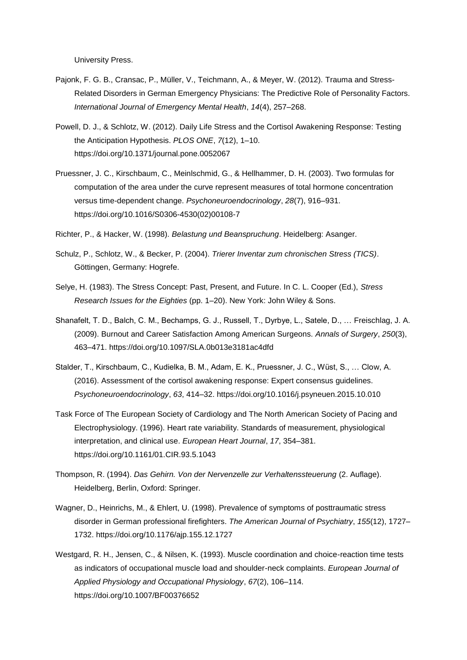University Press.

- Pajonk, F. G. B., Cransac, P., Müller, V., Teichmann, A., & Meyer, W. (2012). Trauma and Stress-Related Disorders in German Emergency Physicians: The Predictive Role of Personality Factors. *International Journal of Emergency Mental Health*, *14*(4), 257–268.
- Powell, D. J., & Schlotz, W. (2012). Daily Life Stress and the Cortisol Awakening Response: Testing the Anticipation Hypothesis. *PLOS ONE*, *7*(12), 1–10. https://doi.org/10.1371/journal.pone.0052067
- Pruessner, J. C., Kirschbaum, C., Meinlschmid, G., & Hellhammer, D. H. (2003). Two formulas for computation of the area under the curve represent measures of total hormone concentration versus time-dependent change. *Psychoneuroendocrinology*, *28*(7), 916–931. https://doi.org/10.1016/S0306-4530(02)00108-7
- Richter, P., & Hacker, W. (1998). *Belastung und Beanspruchung*. Heidelberg: Asanger.
- Schulz, P., Schlotz, W., & Becker, P. (2004). *Trierer Inventar zum chronischen Stress (TICS)*. Göttingen, Germany: Hogrefe.
- Selye, H. (1983). The Stress Concept: Past, Present, and Future. In C. L. Cooper (Ed.), *Stress Research Issues for the Eighties* (pp. 1–20). New York: John Wiley & Sons.
- Shanafelt, T. D., Balch, C. M., Bechamps, G. J., Russell, T., Dyrbye, L., Satele, D., … Freischlag, J. A. (2009). Burnout and Career Satisfaction Among American Surgeons. *Annals of Surgery*, *250*(3), 463–471. https://doi.org/10.1097/SLA.0b013e3181ac4dfd
- Stalder, T., Kirschbaum, C., Kudielka, B. M., Adam, E. K., Pruessner, J. C., Wüst, S., … Clow, A. (2016). Assessment of the cortisol awakening response: Expert consensus guidelines. *Psychoneuroendocrinology*, *63*, 414–32. https://doi.org/10.1016/j.psyneuen.2015.10.010
- Task Force of The European Society of Cardiology and The North American Society of Pacing and Electrophysiology. (1996). Heart rate variability. Standards of measurement, physiological interpretation, and clinical use. *European Heart Journal*, *17*, 354–381. https://doi.org/10.1161/01.CIR.93.5.1043
- Thompson, R. (1994). *Das Gehirn. Von der Nervenzelle zur Verhaltenssteuerung* (2. Auflage). Heidelberg, Berlin, Oxford: Springer.
- Wagner, D., Heinrichs, M., & Ehlert, U. (1998). Prevalence of symptoms of posttraumatic stress disorder in German professional firefighters. *The American Journal of Psychiatry*, *155*(12), 1727– 1732. https://doi.org/10.1176/ajp.155.12.1727
- Westgard, R. H., Jensen, C., & Nilsen, K. (1993). Muscle coordination and choice-reaction time tests as indicators of occupational muscle load and shoulder-neck complaints. *European Journal of Applied Physiology and Occupational Physiology*, *67*(2), 106–114. https://doi.org/10.1007/BF00376652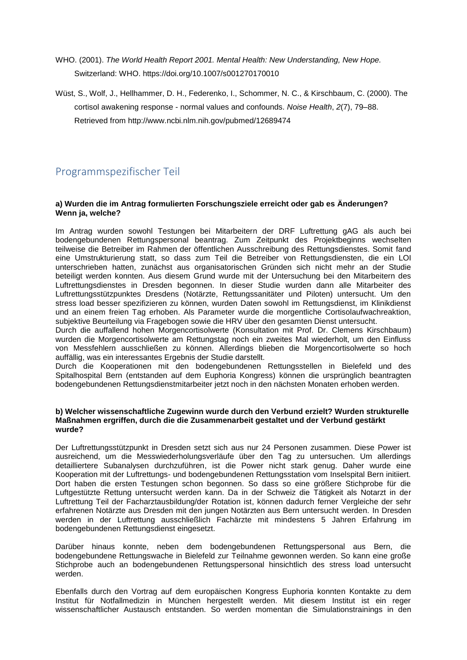- WHO. (2001). *The World Health Report 2001. Mental Health: New Understanding, New Hope.* Switzerland: WHO. https://doi.org/10.1007/s001270170010
- Wüst, S., Wolf, J., Hellhammer, D. H., Federenko, I., Schommer, N. C., & Kirschbaum, C. (2000). The cortisol awakening response - normal values and confounds. *Noise Health*, *2*(7), 79–88. Retrieved from http://www.ncbi.nlm.nih.gov/pubmed/12689474

# Programmspezifischer Teil

## **a) Wurden die im Antrag formulierten Forschungsziele erreicht oder gab es Änderungen? Wenn ja, welche?**

Im Antrag wurden sowohl Testungen bei Mitarbeitern der DRF Luftrettung gAG als auch bei bodengebundenen Rettungspersonal beantrag. Zum Zeitpunkt des Projektbeginns wechselten teilweise die Betreiber im Rahmen der öffentlichen Ausschreibung des Rettungsdienstes. Somit fand eine Umstrukturierung statt, so dass zum Teil die Betreiber von Rettungsdiensten, die ein LOI unterschrieben hatten, zunächst aus organisatorischen Gründen sich nicht mehr an der Studie beteiligt werden konnten. Aus diesem Grund wurde mit der Untersuchung bei den Mitarbeitern des Luftrettungsdienstes in Dresden begonnen. In dieser Studie wurden dann alle Mitarbeiter des Luftrettungsstützpunktes Dresdens (Notärzte, Rettungssanitäter und Piloten) untersucht. Um den stress load besser spezifizieren zu können, wurden Daten sowohl im Rettungsdienst, im Klinikdienst und an einem freien Tag erhoben. Als Parameter wurde die morgentliche Cortisolaufwachreaktion, subjektive Beurteilung via Fragebogen sowie die HRV über den gesamten Dienst untersucht.

Durch die auffallend hohen Morgencortisolwerte (Konsultation mit Prof. Dr. Clemens Kirschbaum) wurden die Morgencortisolwerte am Rettungstag noch ein zweites Mal wiederholt, um den Einfluss von Messfehlern ausschließen zu können. Allerdings blieben die Morgencortisolwerte so hoch auffällig, was ein interessantes Ergebnis der Studie darstellt.

Durch die Kooperationen mit den bodengebundenen Rettungsstellen in Bielefeld und des Spitalhospital Bern (entstanden auf dem Euphoria Kongress) können die ursprünglich beantragten bodengebundenen Rettungsdienstmitarbeiter jetzt noch in den nächsten Monaten erhoben werden.

### **b) Welcher wissenschaftliche Zugewinn wurde durch den Verbund erzielt? Wurden strukturelle Maßnahmen ergriffen, durch die die Zusammenarbeit gestaltet und der Verbund gestärkt wurde?**

Der Luftrettungsstützpunkt in Dresden setzt sich aus nur 24 Personen zusammen. Diese Power ist ausreichend, um die Messwiederholungsverläufe über den Tag zu untersuchen. Um allerdings detailliertere Subanalysen durchzuführen, ist die Power nicht stark genug. Daher wurde eine Kooperation mit der Luftrettungs- und bodengebundenen Rettungsstation vom Inselspital Bern initiiert. Dort haben die ersten Testungen schon begonnen. So dass so eine größere Stichprobe für die Luftgestützte Rettung untersucht werden kann. Da in der Schweiz die Tätigkeit als Notarzt in der Luftrettung Teil der Facharztausbildung/der Rotation ist, können dadurch ferner Vergleiche der sehr erfahrenen Notärzte aus Dresden mit den jungen Notärzten aus Bern untersucht werden. In Dresden werden in der Luftrettung ausschließlich Fachärzte mit mindestens 5 Jahren Erfahrung im bodengebundenen Rettungsdienst eingesetzt.

Darüber hinaus konnte, neben dem bodengebundenen Rettungspersonal aus Bern, die bodengebundene Rettungswache in Bielefeld zur Teilnahme gewonnen werden. So kann eine große Stichprobe auch an bodengebundenen Rettungspersonal hinsichtlich des stress load untersucht werden.

Ebenfalls durch den Vortrag auf dem europäischen Kongress Euphoria konnten Kontakte zu dem Institut für Notfallmedizin in München hergestellt werden. Mit diesem Institut ist ein reger wissenschaftlicher Austausch entstanden. So werden momentan die Simulationstrainings in den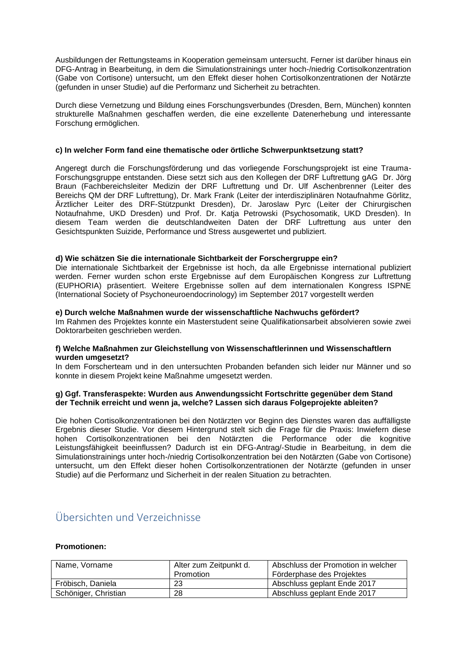Ausbildungen der Rettungsteams in Kooperation gemeinsam untersucht. Ferner ist darüber hinaus ein DFG-Antrag in Bearbeitung, in dem die Simulationstrainings unter hoch-/niedrig Cortisolkonzentration (Gabe von Cortisone) untersucht, um den Effekt dieser hohen Cortisolkonzentrationen der Notärzte (gefunden in unser Studie) auf die Performanz und Sicherheit zu betrachten.

Durch diese Vernetzung und Bildung eines Forschungsverbundes (Dresden, Bern, München) konnten strukturelle Maßnahmen geschaffen werden, die eine exzellente Datenerhebung und interessante Forschung ermöglichen.

### **c) In welcher Form fand eine thematische oder örtliche Schwerpunktsetzung statt?**

Angeregt durch die Forschungsförderung und das vorliegende Forschungsprojekt ist eine Trauma-Forschungsgruppe entstanden. Diese setzt sich aus den Kollegen der DRF Luftrettung gAG Dr. Jörg Braun (Fachbereichsleiter Medizin der DRF Luftrettung und Dr. Ulf Aschenbrenner (Leiter des Bereichs QM der DRF Luftrettung), Dr. Mark Frank (Leiter der interdisziplinären Notaufnahme Görlitz, Ärztlicher Leiter des DRF-Stützpunkt Dresden), Dr. Jaroslaw Pyrc (Leiter der Chirurgischen Notaufnahme, UKD Dresden) und Prof. Dr. Katja Petrowski (Psychosomatik, UKD Dresden). In diesem Team werden die deutschlandweiten Daten der DRF Luftrettung aus unter den Gesichtspunkten Suizide, Performance und Stress ausgewertet und publiziert.

### **d) Wie schätzen Sie die internationale Sichtbarkeit der Forschergruppe ein?**

Die internationale Sichtbarkeit der Ergebnisse ist hoch, da alle Ergebnisse international publiziert werden. Ferner wurden schon erste Ergebnisse auf dem Europäischen Kongress zur Luftrettung (EUPHORIA) präsentiert. Weitere Ergebnisse sollen auf dem internationalen Kongress ISPNE (International Society of Psychoneuroendocrinology) im September 2017 vorgestellt werden

### **e) Durch welche Maßnahmen wurde der wissenschaftliche Nachwuchs gefördert?**

Im Rahmen des Projektes konnte ein Masterstudent seine Qualifikationsarbeit absolvieren sowie zwei Doktorarbeiten geschrieben werden.

### **f) Welche Maßnahmen zur Gleichstellung von Wissenschaftlerinnen und Wissenschaftlern wurden umgesetzt?**

In dem Forscherteam und in den untersuchten Probanden befanden sich leider nur Männer und so konnte in diesem Projekt keine Maßnahme umgesetzt werden.

### **g) Ggf. Transferaspekte: Wurden aus Anwendungssicht Fortschritte gegenüber dem Stand der Technik erreicht und wenn ja, welche? Lassen sich daraus Folgeprojekte ableiten?**

Die hohen Cortisolkonzentrationen bei den Notärzten vor Beginn des Dienstes waren das auffälligste Ergebnis dieser Studie. Vor diesem Hintergrund stelt sich die Frage für die Praxis: Inwiefern diese hohen Cortisolkonzentrationen bei den Notärzten die Performance oder die kognitive Leistungsfähigkeit beeinflussen? Dadurch ist ein DFG-Antrag/-Studie in Bearbeitung, in dem die Simulationstrainings unter hoch-/niedrig Cortisolkonzentration bei den Notärzten (Gabe von Cortisone) untersucht, um den Effekt dieser hohen Cortisolkonzentrationen der Notärzte (gefunden in unser Studie) auf die Performanz und Sicherheit in der realen Situation zu betrachten.

# Übersichten und Verzeichnisse

### **Promotionen:**

| Name, Vorname        | Alter zum Zeitpunkt d. | Abschluss der Promotion in welcher |
|----------------------|------------------------|------------------------------------|
|                      | Promotion              | Förderphase des Projektes          |
| Fröbisch, Daniela    | 23                     | Abschluss geplant Ende 2017        |
| Schöniger, Christian | 28                     | Abschluss geplant Ende 2017        |